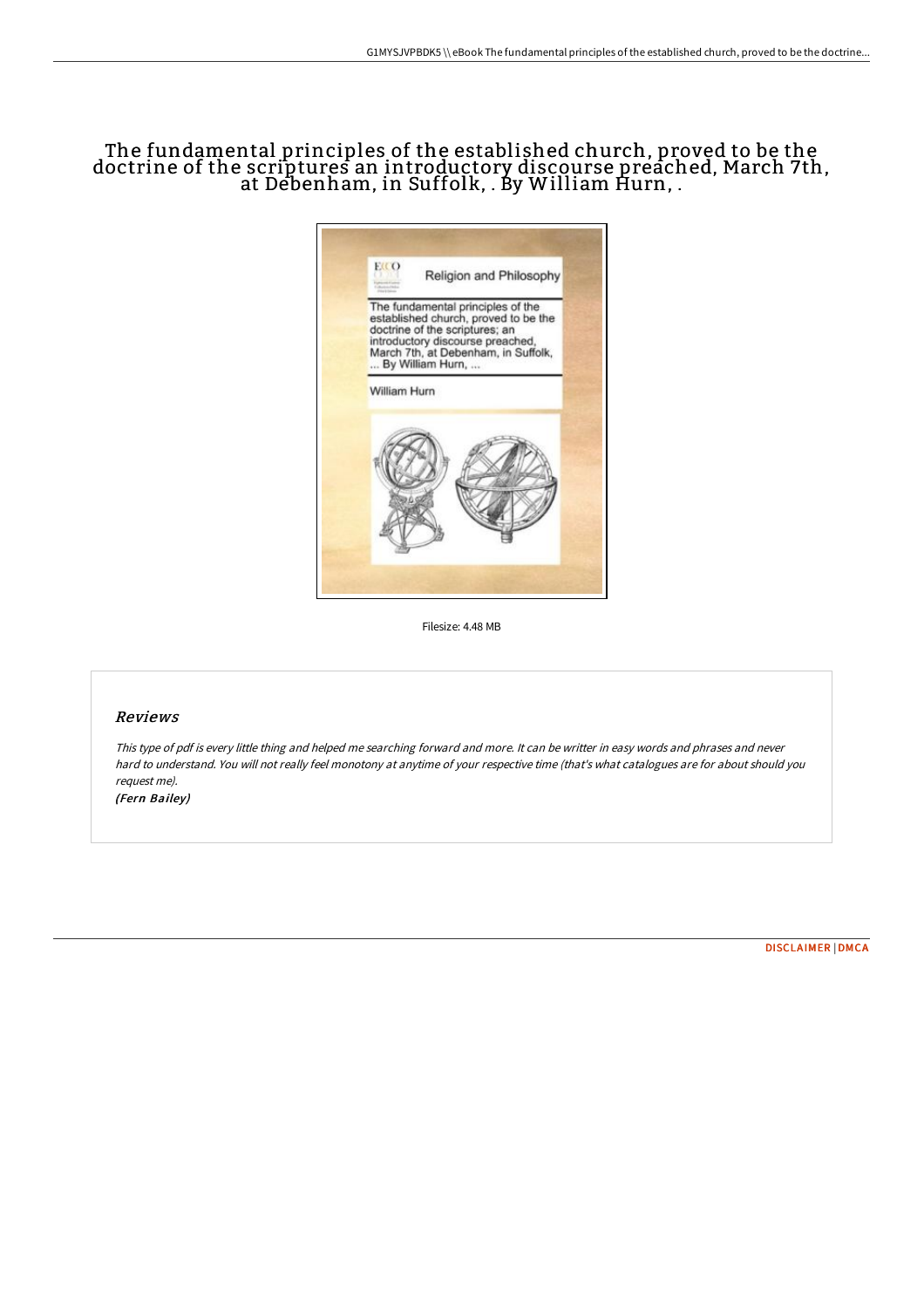## The fundamental principles of the established church, proved to be the doctrine of the scriptures an introductory discourse preached, March 7th, at Debenham, in Suffolk, . By William Hurn, .



Filesize: 4.48 MB

## Reviews

This type of pdf is every little thing and helped me searching forward and more. It can be writter in easy words and phrases and never hard to understand. You will not really feel monotony at anytime of your respective time (that's what catalogues are for about should you request me).

(Fern Bailey)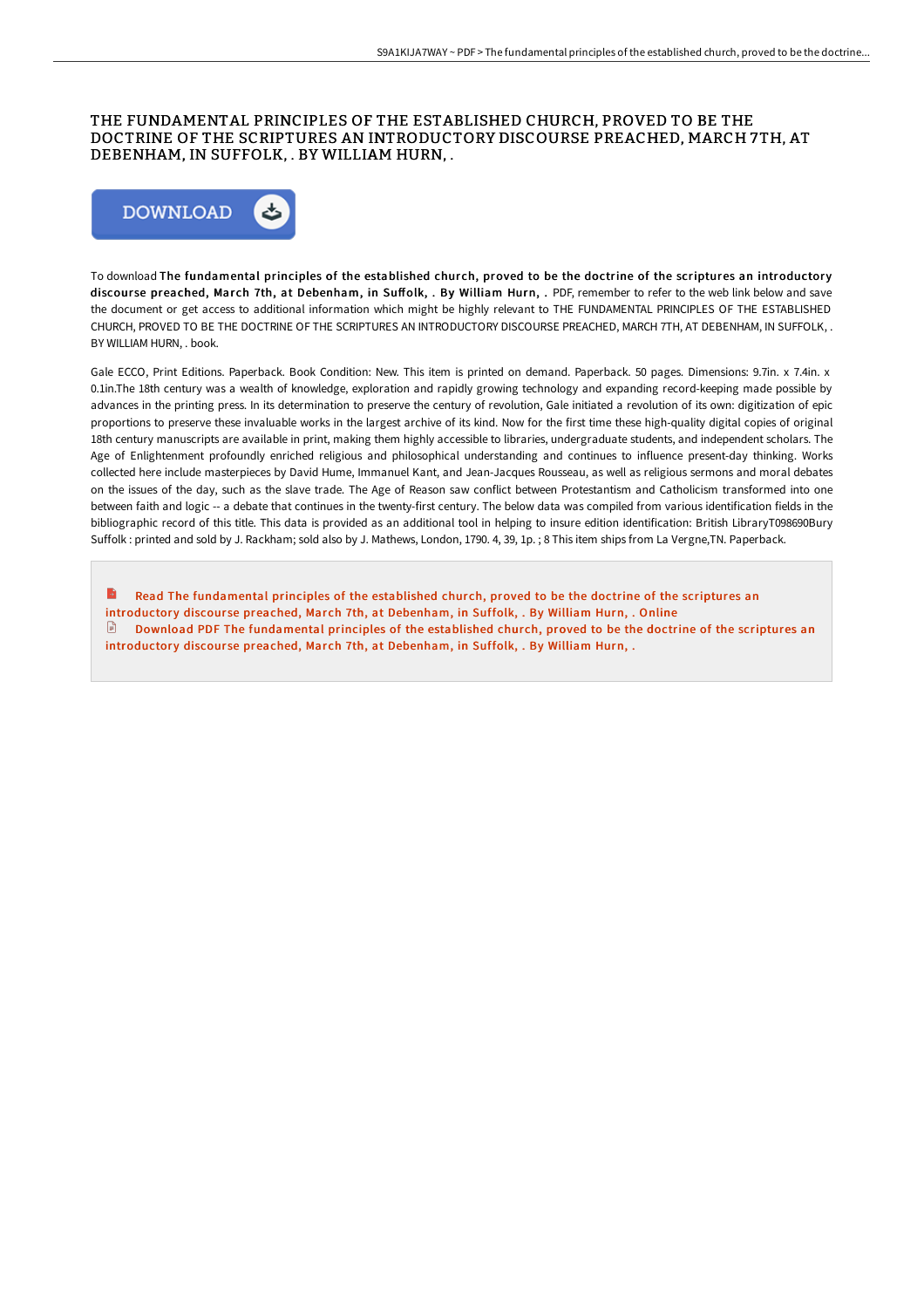## THE FUNDAMENTAL PRINCIPLES OF THE ESTABLISHED CHURCH, PROVED TO BE THE DOCTRINE OF THE SCRIPTURES AN INTRODUCTORY DISCOURSE PREACHED, MARCH 7TH, AT DEBENHAM, IN SUFFOLK, . BY WILLIAM HURN, .



To download The fundamental principles of the established church, proved to be the doctrine of the scriptures an introductory discourse preached, March 7th, at Debenham, in Suffolk, . By William Hurn, . PDF, remember to refer to the web link below and save the document or get access to additional information which might be highly relevant to THE FUNDAMENTAL PRINCIPLES OF THE ESTABLISHED CHURCH, PROVED TO BE THE DOCTRINE OF THE SCRIPTURES AN INTRODUCTORY DISCOURSE PREACHED, MARCH 7TH, AT DEBENHAM, IN SUFFOLK, . BY WILLIAM HURN, . book.

Gale ECCO, Print Editions. Paperback. Book Condition: New. This item is printed on demand. Paperback. 50 pages. Dimensions: 9.7in. x 7.4in. x 0.1in.The 18th century was a wealth of knowledge, exploration and rapidly growing technology and expanding record-keeping made possible by advances in the printing press. In its determination to preserve the century of revolution, Gale initiated a revolution of its own: digitization of epic proportions to preserve these invaluable works in the largest archive of its kind. Now for the first time these high-quality digital copies of original 18th century manuscripts are available in print, making them highly accessible to libraries, undergraduate students, and independent scholars. The Age of Enlightenment profoundly enriched religious and philosophical understanding and continues to influence present-day thinking. Works collected here include masterpieces by David Hume, Immanuel Kant, and Jean-Jacques Rousseau, as well as religious sermons and moral debates on the issues of the day, such as the slave trade. The Age of Reason saw conflict between Protestantism and Catholicism transformed into one between faith and logic -- a debate that continues in the twenty-first century. The below data was compiled from various identification fields in the bibliographic record of this title. This data is provided as an additional tool in helping to insure edition identification: British LibraryT098690Bury Suffolk : printed and sold by J. Rackham; sold also by J. Mathews, London, 1790. 4, 39, 1p. ; 8 This item ships from La Vergne,TN. Paperback.

B Read The [fundamental](http://bookera.tech/the-fundamental-principles-of-the-established-ch.html) principles of the established church, proved to be the doctrine of the scriptures an introductory discourse preached, March 7th, at Debenham, in Suffolk, . By William Hurn, . Online  $\Box$  Download PDF The [fundamental](http://bookera.tech/the-fundamental-principles-of-the-established-ch.html) principles of the established church, proved to be the doctrine of the scriptures an introductory discourse preached, March 7th, at Debenham, in Suffolk, . By William Hurn, .